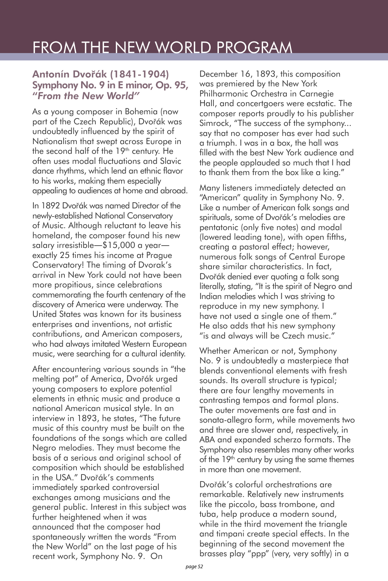## FROM THE NEW WORLD PROGRAM

## Antonín Dvo**ř**ák (1841-1904) Symphony No. 9 in E minor, Op. 95, "*From the New World"*

As a young composer in Bohemia (now part of the Czech Republic), Dvořák was undoubtedly influenced by the spirit of Nationalism that swept across Europe in the second half of the 19<sup>th</sup> century. He often uses modal fluctuations and Slavic dance rhythms, which lend an ethnic flavor to his works, making them especially appealing to audiences at home and abroad.

In 1892 Dvořák was named Director of the newly-established National Conservatory of Music. Although reluctant to leave his homeland, the composer found his new salary irresistible―\$15,000 a year― exactly 25 times his income at Prague Conservatory! The timing of Dvorak's arrival in New York could not have been more propitious, since celebrations commemorating the fourth centenary of the discovery of America were underway. The United States was known for its business enterprises and inventions, not artistic contributions, and American composers, who had always imitated Western European music, were searching for a cultural identity.

After encountering various sounds in "the melting pot" of America, Dvořák urged young composers to explore potential elements in ethnic music and produce a national American musical style. In an interview in 1893, he states, "The future music of this country must be built on the foundations of the songs which are called Negro melodies. They must become the basis of a serious and original school of composition which should be established in the USA." Dvořák's comments immediately sparked controversial exchanges among musicians and the general public. Interest in this subject was further heightened when it was announced that the composer had spontaneously written the words "From the New World" on the last page of his recent work, Symphony No. 9. On

December 16, 1893, this composition was premiered by the New York Philharmonic Orchestra in Carnegie Hall, and concertgoers were ecstatic. The composer reports proudly to his publisher Simrock, "The success of the symphony... say that no composer has ever had such a triumph. I was in a box, the hall was filled with the best New York audience and the people applauded so much that I had to thank them from the box like a king."

Many listeners immediately detected an "American" quality in Symphony No. 9. Like a number of American folk songs and spirituals, some of Dvořák's melodies are pentatonic (only five notes) and modal (lowered leading tone), with open fifths, creating a pastoral effect; however, numerous folk songs of Central Europe share similar characteristics. In fact, Dvořák denied ever quoting a folk song literally, stating, "It is the spirit of Negro and Indian melodies which I was striving to reproduce in my new symphony. I have not used a single one of them." He also adds that his new symphony "is and always will be Czech music."

Whether American or not, Symphony No. 9 is undoubtedly a masterpiece that blends conventional elements with fresh sounds. Its overall structure is typical; there are four lengthy movements in contrasting tempos and formal plans. The outer movements are fast and in sonata-allegro form, while movements two and three are slower and, respectively, in ABA and expanded scherzo formats. The Symphony also resembles many other works of the 19<sup>th</sup> century by using the same themes in more than one movement.

Dvořák's colorful orchestrations are remarkable. Relatively new instruments like the piccolo, bass trombone, and tuba, help produce a modern sound, while in the third movement the triangle and timpani create special effects. In the beginning of the second movement the brasses play "ppp" (very, very softly) in a